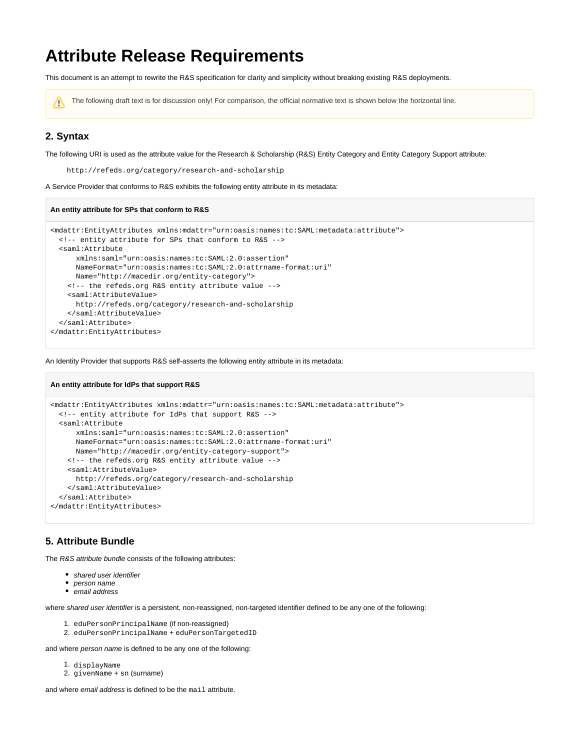# **Attribute Release Requirements**

This document is an attempt to rewrite the R&S specification for clarity and simplicity without breaking existing R&S deployments.

The following draft text is for discussion only! For comparison, the official normative text is shown below the horizontal line.Λ

### **2. Syntax**

The following URI is used as the attribute value for the Research & Scholarship (R&S) Entity Category and Entity Category Support attribute:

http://refeds.org/category/research-and-scholarship

A Service Provider that conforms to R&S exhibits the following entity attribute in its metadata:

#### **An entity attribute for SPs that conform to R&S**

**An entity attribute for IdPs that support R&S**

```
<mdattr:EntityAttributes xmlns:mdattr="urn:oasis:names:tc:SAML:metadata:attribute">
  <!-- entity attribute for SPs that conform to R&S -->
   <saml:Attribute
      xmlns:saml="urn:oasis:names:tc:SAML:2.0:assertion"
      NameFormat="urn:oasis:names:tc:SAML:2.0:attrname-format:uri"
      Name="http://macedir.org/entity-category">
    <!-- the refeds.org R&S entity attribute value -->
    <saml:AttributeValue>
      http://refeds.org/category/research-and-scholarship
     </saml:AttributeValue>
  </saml:Attribute>
</mdattr:EntityAttributes>
```
An Identity Provider that supports R&S self-asserts the following entity attribute in its metadata:

```
<mdattr:EntityAttributes xmlns:mdattr="urn:oasis:names:tc:SAML:metadata:attribute">
  <!-- entity attribute for IdPs that support R&S -->
   <saml:Attribute
      xmlns:saml="urn:oasis:names:tc:SAML:2.0:assertion"
      NameFormat="urn:oasis:names:tc:SAML:2.0:attrname-format:uri"
      Name="http://macedir.org/entity-category-support">
    <!-- the refeds.org R&S entity attribute value -->
    <saml:AttributeValue>
      http://refeds.org/category/research-and-scholarship
    </saml:AttributeValue>
  </saml:Attribute>
</mdattr:EntityAttributes>
```
### **5. Attribute Bundle**

The R&S attribute bundle consists of the following attributes:

- shared user identifier
- person name
- email address

where shared user identifier is a persistent, non-reassigned, non-targeted identifier defined to be any one of the following:

- 1. eduPersonPrincipalName (if non-reassigned)
- 2. eduPersonPrincipalName + eduPersonTargetedID

and where person name is defined to be any one of the following:

- 1. displayName
- 2. givenName + sn (surname)

and where *email address* is defined to be the mail attribute.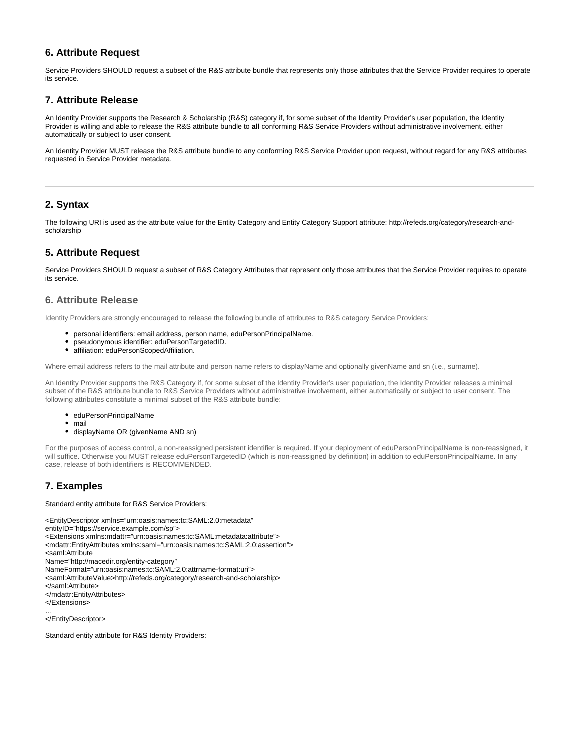### **6. Attribute Request**

Service Providers SHOULD request a subset of the R&S attribute bundle that represents only those attributes that the Service Provider requires to operate its service.

#### **7. Attribute Release**

An Identity Provider supports the Research & Scholarship (R&S) category if, for some subset of the Identity Provider's user population, the Identity Provider is willing and able to release the R&S attribute bundle to **all** conforming R&S Service Providers without administrative involvement, either automatically or subject to user consent.

An Identity Provider MUST release the R&S attribute bundle to any conforming R&S Service Provider upon request, without regard for any R&S attributes requested in Service Provider metadata.

#### **2. Syntax**

The following URI is used as the attribute value for the Entity Category and Entity Category Support attribute: http://refeds.org/category/research-andscholarship

#### **5. Attribute Request**

Service Providers SHOULD request a subset of R&S Category Attributes that represent only those attributes that the Service Provider requires to operate its service.

#### **6. Attribute Release**

Identity Providers are strongly encouraged to release the following bundle of attributes to R&S category Service Providers:

- personal identifiers: email address, person name, eduPersonPrincipalName.
- pseudonymous identifier: eduPersonTargetedID.
- $\bullet$ affiliation: eduPersonScopedAffiliation.

Where email address refers to the mail attribute and person name refers to displayName and optionally givenName and sn (i.e., surname).

An Identity Provider supports the R&S Category if, for some subset of the Identity Provider's user population, the Identity Provider releases a minimal subset of the R&S attribute bundle to R&S Service Providers without administrative involvement, either automatically or subject to user consent. The following attributes constitute a minimal subset of the R&S attribute bundle:

- eduPersonPrincipalName
- mail
- displayName OR (givenName AND sn)

For the purposes of access control, a non-reassigned persistent identifier is required. If your deployment of eduPersonPrincipalName is non-reassigned, it will suffice. Otherwise you MUST release eduPersonTargetedID (which is non-reassigned by definition) in addition to eduPersonPrincipalName. In any case, release of both identifiers is RECOMMENDED.

## **7. Examples**

Standard entity attribute for R&S Service Providers:

```
<EntityDescriptor xmlns="urn:oasis:names:tc:SAML:2.0:metadata"
entityID="https://service.example.com/sp">
<Extensions xmlns:mdattr="urn:oasis:names:tc:SAML:metadata:attribute">
<mdattr:EntityAttributes xmlns:saml="urn:oasis:names:tc:SAML:2.0:assertion">
<saml:Attribute
Name="http://macedir.org/entity-category"
NameFormat="urn:oasis:names:tc:SAML:2.0:attrname-format:uri">
<saml:AttributeValue>http://refeds.org/category/research-and-scholarship>
</saml:Attribute>
</mdattr:EntityAttributes>
</Extensions>
…
</EntityDescriptor>
```
Standard entity attribute for R&S Identity Providers: